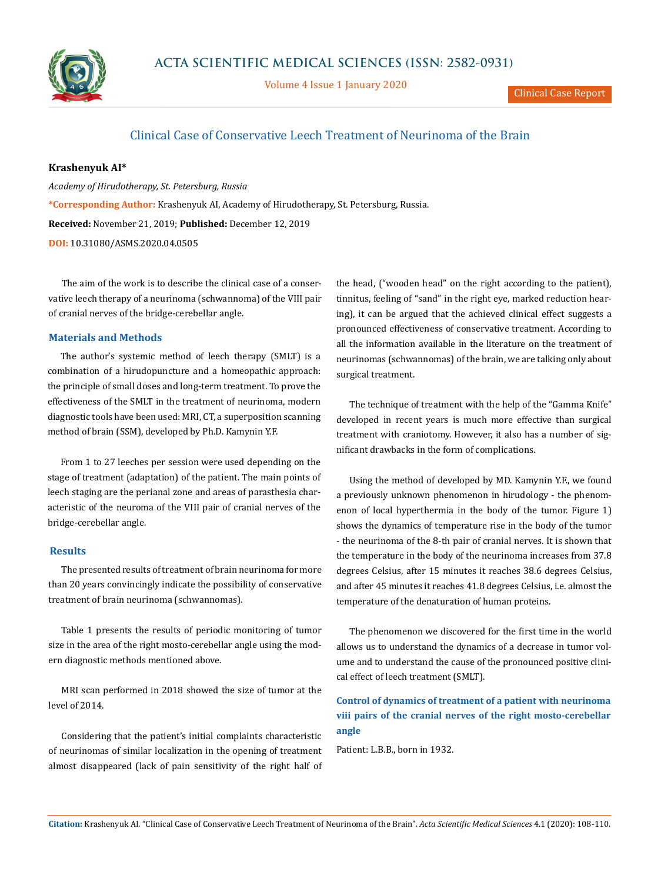

Volume 4 Issue 1 January 2020

## Clinical Case of Conservative Leech Treatment of Neurinoma of the Brain

#### **Krashenyuk AI\***

*Academy of Hirudotherapy, St. Petersburg, Russia* **\*Corresponding Author:** Krashenyuk AI, Academy of Hirudotherapy, St. Petersburg, Russia. **Received:** November 21, 2019; **Published:** December 12, 2019 **DOI:** [10.31080/ASMS.2020.04.0](https://actascientific.com/ASMS/pdf/ASMS-04-0505.pdf)505

The aim of the work is to describe the clinical case of a conservative leech therapy of a neurinoma (schwannoma) of the VIII pair of cranial nerves of the bridge-cerebellar angle.

#### **Materials and Methods**

The author's systemic method of leech therapy (SMLT) is a combination of a hirudopuncture and a homeopathic approach: the principle of small doses and long-term treatment. To prove the effectiveness of the SMLT in the treatment of neurinoma, modern diagnostic tools have been used: MRI, CT, a superposition scanning method of brain (SSM), developed by Ph.D. Kamynin Y.F.

From 1 to 27 leeches per session were used depending on the stage of treatment (adaptation) of the patient. The main points of leech staging are the perianal zone and areas of parasthesia characteristic of the neuroma of the VIII pair of cranial nerves of the bridge-cerebellar angle.

#### **Results**

The presented results of treatment of brain neurinoma for more than 20 years convincingly indicate the possibility of conservative treatment of brain neurinoma (schwannomas).

Table 1 presents the results of periodic monitoring of tumor size in the area of the right mosto-cerebellar angle using the modern diagnostic methods mentioned above.

MRI scan performed in 2018 showed the size of tumor at the level of 2014.

Considering that the patient's initial complaints characteristic of neurinomas of similar localization in the opening of treatment almost disappeared (lack of pain sensitivity of the right half of the head, ("wooden head" on the right according to the patient), tinnitus, feeling of "sand" in the right eye, marked reduction hearing), it can be argued that the achieved clinical effect suggests a pronounced effectiveness of conservative treatment. According to all the information available in the literature on the treatment of neurinomas (schwannomas) of the brain, we are talking only about surgical treatment.

The technique of treatment with the help of the "Gamma Knife" developed in recent years is much more effective than surgical treatment with craniotomy. However, it also has a number of significant drawbacks in the form of complications.

Using the method of developed by MD. Kamynin Y.F., we found a previously unknown phenomenon in hirudology - the phenomenon of local hyperthermia in the body of the tumor. Figure 1) shows the dynamics of temperature rise in the body of the tumor - the neurinoma of the 8-th pair of cranial nerves. It is shown that the temperature in the body of the neurinoma increases from 37.8 degrees Celsius, after 15 minutes it reaches 38.6 degrees Celsius, and after 45 minutes it reaches 41.8 degrees Celsius, i.e. almost the temperature of the denaturation of human proteins.

The phenomenon we discovered for the first time in the world allows us to understand the dynamics of a decrease in tumor volume and to understand the cause of the pronounced positive clinical effect of leech treatment (SMLT).

**Control of dynamics of treatment of a patient with neurinoma viii pairs of the cranial nerves of the right mosto-cerebellar angle**

Patient: L.B.B., born in 1932.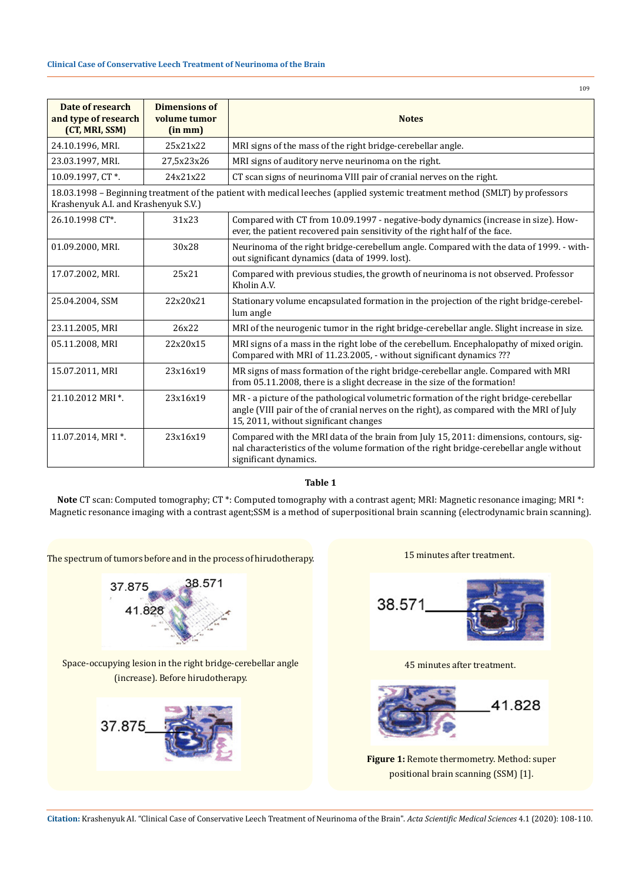| Date of research<br>and type of research<br>(CT, MRI, SSM)                                                                                                           | <b>Dimensions of</b><br>volume tumor<br>(in mm) | <b>Notes</b>                                                                                                                                                                                                                 |
|----------------------------------------------------------------------------------------------------------------------------------------------------------------------|-------------------------------------------------|------------------------------------------------------------------------------------------------------------------------------------------------------------------------------------------------------------------------------|
| 24.10.1996, MRI.                                                                                                                                                     | 25x21x22                                        | MRI signs of the mass of the right bridge-cerebellar angle.                                                                                                                                                                  |
| 23.03.1997, MRI.                                                                                                                                                     | 27,5x23x26                                      | MRI signs of auditory nerve neurinoma on the right.                                                                                                                                                                          |
| 10.09.1997, CT*.                                                                                                                                                     | 24x21x22                                        | CT scan signs of neurinoma VIII pair of cranial nerves on the right.                                                                                                                                                         |
| 18.03.1998 – Beginning treatment of the patient with medical leeches (applied systemic treatment method (SMLT) by professors<br>Krashenyuk A.I. and Krashenyuk S.V.) |                                                 |                                                                                                                                                                                                                              |
| 26.10.1998 CT*.                                                                                                                                                      | 31x23                                           | Compared with CT from 10.09.1997 - negative-body dynamics (increase in size). How-<br>ever, the patient recovered pain sensitivity of the right half of the face.                                                            |
| 01.09.2000, MRI.                                                                                                                                                     | 30x28                                           | Neurinoma of the right bridge-cerebellum angle. Compared with the data of 1999. - with-<br>out significant dynamics (data of 1999. lost).                                                                                    |
| 17.07.2002, MRI.                                                                                                                                                     | 25x21                                           | Compared with previous studies, the growth of neurinoma is not observed. Professor<br>Kholin A.V.                                                                                                                            |
| 25.04.2004, SSM                                                                                                                                                      | 22x20x21                                        | Stationary volume encapsulated formation in the projection of the right bridge-cerebel-<br>lum angle                                                                                                                         |
| 23.11.2005, MRI                                                                                                                                                      | 26x22                                           | MRI of the neurogenic tumor in the right bridge-cerebellar angle. Slight increase in size.                                                                                                                                   |
| 05.11.2008, MRI                                                                                                                                                      | 22x20x15                                        | MRI signs of a mass in the right lobe of the cerebellum. Encephalopathy of mixed origin.<br>Compared with MRI of 11.23.2005, - without significant dynamics ???                                                              |
| 15.07.2011, MRI                                                                                                                                                      | 23x16x19                                        | MR signs of mass formation of the right bridge-cerebellar angle. Compared with MRI<br>from 05.11.2008, there is a slight decrease in the size of the formation!                                                              |
| 21.10.2012 MRI *.                                                                                                                                                    | 23x16x19                                        | MR - a picture of the pathological volumetric formation of the right bridge-cerebellar<br>angle (VIII pair of the of cranial nerves on the right), as compared with the MRI of July<br>15, 2011, without significant changes |
| 11.07.2014, MRI *.                                                                                                                                                   | 23x16x19                                        | Compared with the MRI data of the brain from July 15, 2011: dimensions, contours, sig-<br>nal characteristics of the volume formation of the right bridge-cerebellar angle without<br>significant dynamics.                  |

**Table 1**

**Note** CT scan: Computed tomography; CT \*: Computed tomography with a contrast agent; MRI: Magnetic resonance imaging; MRI \*: Magnetic resonance imaging with a contrast agent;SSM is a method of superpositional brain scanning (electrodynamic brain scanning).

37.875 38.571 41.828 Space-occupying lesion in the right bridge-cerebellar angle (increase). Before hirudotherapy. 37.875

The spectrum of tumors before and in the process of hirudotherapy.

**Citation:** Krashenyuk AI*.* "Clinical Case of Conservative Leech Treatment of Neurinoma of the Brain". *Acta Scientific Medical Sciences* 4.1 (2020): 108-110.



45 minutes after treatment.



**Figure 1:** Remote thermometry. Method: super positional brain scanning (SSM) [1].

109